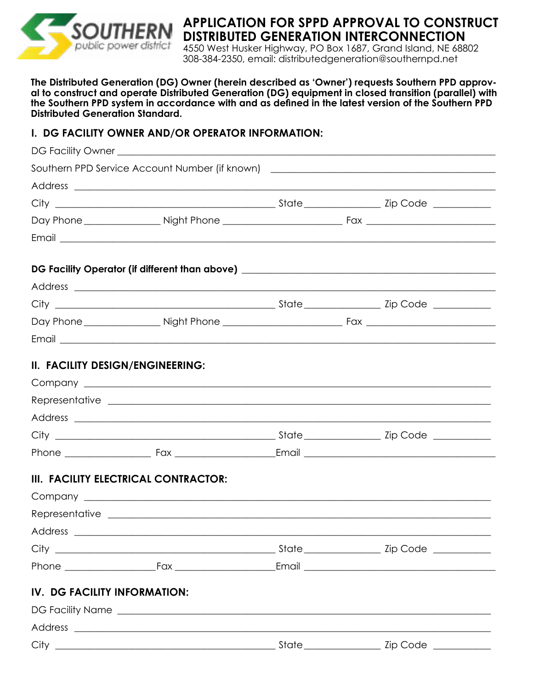

## **APPLICATION FOR SPPD APPROVAL TO CONSTRUCT DISTRIBUTED GENERATION INTERCONNECTION**

4550 West Husker Highway, PO Box 1687, Grand Island, NE 68802 308-384-2350, email: distributedgeneration@southernpd.net

**The Distributed Generation (DG) Owner (herein described as 'Owner') requests Southern PPD approval to construct and operate Distributed Generation (DG) equipment in closed transition (parallel) with the Southern PPD system in accordance with and as defined in the latest version of the Southern PPD Distributed Generation Standard.** 

#### **I. DG FACILITY OWNER AND/OR OPERATOR INFORMATION:**

|                                  | Southern PPD Service Account Number (if known) _________________________________                                                                                                                                                     |  |  |
|----------------------------------|--------------------------------------------------------------------------------------------------------------------------------------------------------------------------------------------------------------------------------------|--|--|
|                                  |                                                                                                                                                                                                                                      |  |  |
|                                  |                                                                                                                                                                                                                                      |  |  |
|                                  |                                                                                                                                                                                                                                      |  |  |
|                                  | Email <u>the community of the community of the community of the community of the community of the community of the community of the community of the community of the community of the community of the community of the communi</u> |  |  |
|                                  | DG Facility Operator (if different than above) _________________________________                                                                                                                                                     |  |  |
|                                  |                                                                                                                                                                                                                                      |  |  |
|                                  |                                                                                                                                                                                                                                      |  |  |
|                                  |                                                                                                                                                                                                                                      |  |  |
|                                  |                                                                                                                                                                                                                                      |  |  |
| II. FACILITY DESIGN/ENGINEERING: |                                                                                                                                                                                                                                      |  |  |
|                                  |                                                                                                                                                                                                                                      |  |  |
|                                  |                                                                                                                                                                                                                                      |  |  |
|                                  |                                                                                                                                                                                                                                      |  |  |
|                                  |                                                                                                                                                                                                                                      |  |  |
|                                  |                                                                                                                                                                                                                                      |  |  |
|                                  | III. FACILITY ELECTRICAL CONTRACTOR:                                                                                                                                                                                                 |  |  |
|                                  |                                                                                                                                                                                                                                      |  |  |
|                                  |                                                                                                                                                                                                                                      |  |  |
|                                  |                                                                                                                                                                                                                                      |  |  |
|                                  |                                                                                                                                                                                                                                      |  |  |
|                                  |                                                                                                                                                                                                                                      |  |  |
| IV. DG FACILITY INFORMATION:     |                                                                                                                                                                                                                                      |  |  |
|                                  |                                                                                                                                                                                                                                      |  |  |
|                                  |                                                                                                                                                                                                                                      |  |  |
|                                  |                                                                                                                                                                                                                                      |  |  |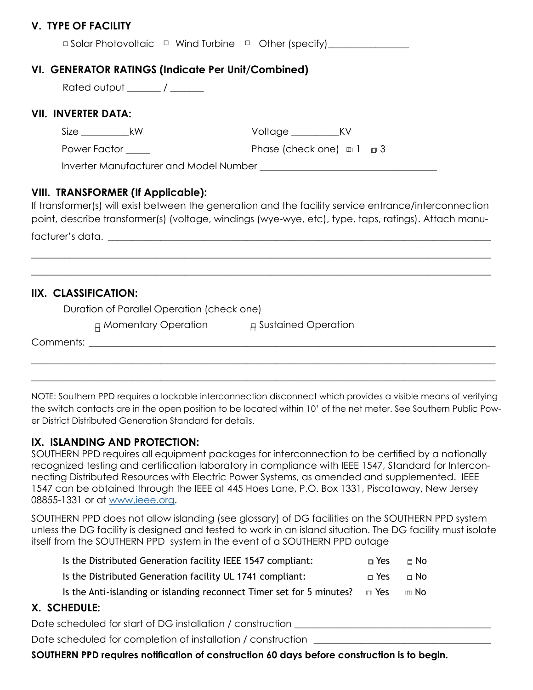#### **V. TYPE OF FACILITY**

| $\Box$ Solar Photovoltaic $\Box$ Wind Turbine $\Box$ Other (specify) |  |  |  |  |
|----------------------------------------------------------------------|--|--|--|--|
|----------------------------------------------------------------------|--|--|--|--|

### **VI. GENERATOR RATINGS (Indicate Per Unit/Combined)**

#### **VII. INVERTER DATA:**

| $\overline{\phantom{a}}$ |  |
|--------------------------|--|
|                          |  |

W Voltage KV

 Power Factor \_\_\_\_\_ Phase (check one) □ 1 □ 3 □ □

Inverter Manufacturer and Model Number \_\_\_\_\_\_\_\_\_\_\_\_\_\_\_\_\_\_\_\_\_\_\_\_\_\_\_\_\_\_\_\_\_\_\_\_\_

#### **VIII. TRANSFORMER (If Applicable):**

If transformer(s) will exist between the generation and the facility service entrance/interconnection point, describe transformer(s) (voltage, windings (wye-wye, etc), type, taps, ratings). Attach manu-

\_\_\_\_\_\_\_\_\_\_\_\_\_\_\_\_\_\_\_\_\_\_\_\_\_\_\_\_\_\_\_\_\_\_\_\_\_\_\_\_\_\_\_\_\_\_\_\_\_\_\_\_\_\_\_\_\_\_\_\_\_\_\_\_\_\_\_\_\_\_\_\_\_\_\_\_\_\_\_\_\_\_\_\_\_\_\_\_\_\_\_\_\_\_\_\_

\_\_\_\_\_\_\_\_\_\_\_\_\_\_\_\_\_\_\_\_\_\_\_\_\_\_\_\_\_\_\_\_\_\_\_\_\_\_\_\_\_\_\_\_\_\_\_\_\_\_\_\_\_\_\_\_\_\_\_\_\_\_\_\_\_\_\_\_\_\_\_\_\_\_\_\_\_\_\_\_\_\_\_\_\_\_\_\_\_\_\_\_\_\_\_\_

facturer's data. \_\_\_\_\_\_\_\_\_\_\_\_\_\_\_\_\_\_\_\_\_\_\_\_\_\_\_\_\_\_\_\_\_\_\_\_\_\_\_\_\_\_\_\_\_\_\_\_\_\_\_\_\_\_\_\_\_\_\_\_\_\_\_\_\_\_\_\_\_\_\_\_\_\_\_\_\_\_\_\_

**IIX. CLASSIFICATION:** 

Duration of Parallel Operation (check one)

 $_\mathrm{H}$  Momentary Operation  $_\mathrm{H}$  Sustained Operation

Comments: \_\_\_\_\_\_\_\_\_\_\_\_\_\_\_\_\_\_\_\_\_\_\_\_\_\_\_\_\_\_\_\_\_\_\_\_\_\_\_\_\_\_\_\_\_\_\_\_\_\_\_\_\_\_\_\_\_\_\_\_\_\_\_\_\_\_\_\_\_\_\_\_\_\_\_\_\_\_\_\_\_\_\_\_\_

NOTE: Southern PPD requires a lockable interconnection disconnect which provides a visible means of verifying the switch contacts are in the open position to be located within 10' of the net meter. See Southern Public Power District Distributed Generation Standard for details.

\_\_\_\_\_\_\_\_\_\_\_\_\_\_\_\_\_\_\_\_\_\_\_\_\_\_\_\_\_\_\_\_\_\_\_\_\_\_\_\_\_\_\_\_\_\_\_\_\_\_\_\_\_\_\_\_\_\_\_\_\_\_\_\_\_\_\_\_\_\_\_\_\_\_\_\_\_\_\_\_\_\_\_\_\_\_\_\_\_\_\_\_\_\_\_\_\_

\_\_\_\_\_\_\_\_\_\_\_\_\_\_\_\_\_\_\_\_\_\_\_\_\_\_\_\_\_\_\_\_\_\_\_\_\_\_\_\_\_\_\_\_\_\_\_\_\_\_\_\_\_\_\_\_\_\_\_\_\_\_\_\_\_\_\_\_\_\_\_\_\_\_\_\_\_\_\_\_\_\_\_\_\_\_\_\_\_\_\_\_\_\_\_\_\_

#### **IX. ISLANDING AND PROTECTION:**

SOUTHERN PPD requires all equipment packages for interconnection to be certified by a nationally recognized testing and certification laboratory in compliance with IEEE 1547, Standard for Interconnecting Distributed Resources with Electric Power Systems, as amended and supplemented. IEEE 1547 can be obtained through the IEEE at 445 Hoes Lane, P.O. Box 1331, Piscataway, New Jersey 08855-1331 or at [www.ieee.org](http://www.ieee.org).

SOUTHERN PPD does not allow islanding (see glossary) of DG facilities on the SOUTHERN PPD system unless the DG facility is designed and tested to work in an island situation. The DG facility must isolate itself from the SOUTHERN PPD system in the event of a SOUTHERN PPD outage

| Is the Distributed Generation facility IEEE 1547 compliant:           | n Yes | $\sqcap$ No |
|-----------------------------------------------------------------------|-------|-------------|
| Is the Distributed Generation facility UL 1741 compliant:             | ∩ Yes | ⊓ No        |
| Is the Anti-islanding or islanding reconnect Timer set for 5 minutes? | m Yes | m No∶       |

### **X. SCHEDULE:**

Date scheduled for start of DG installation / construction

Date scheduled for completion of installation / construction

**SOUTHERN PPD requires notification of construction 60 days before construction is to begin.**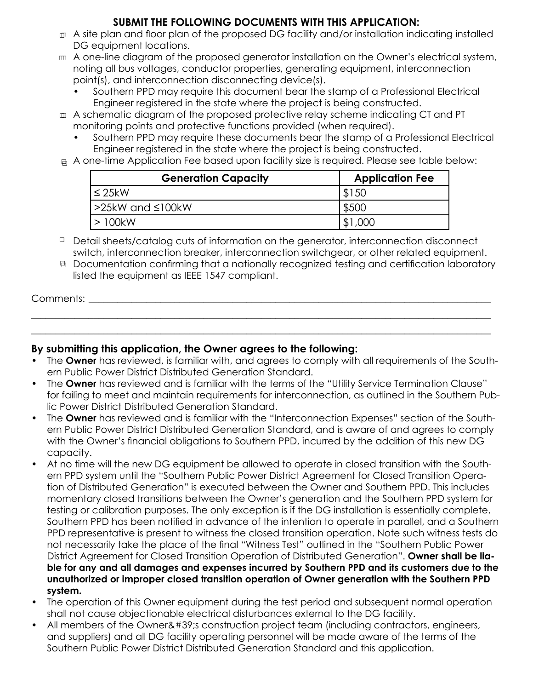#### **SUBMIT THE FOLLOWING DOCUMENTS WITH THIS APPLICATION:**

- 罒 A site plan and floor plan of the proposed DG facility and/or installation indicating installed DG equipment locations.
- □ A one-line diagram of the proposed generator installation on the Owner's electrical system, noting all bus voltages, conductor properties, generating equipment, interconnection point(s), and interconnection disconnecting device(s).
	- Southern PPD may require this document bear the stamp of a Professional Electrical Engineer registered in the state where the project is being constructed.
- $\scriptstyle\rm \scriptstyle\rm \scriptstyle I\hspace{-0.4mm} \scriptstyle\rm I\hspace{-0.4mm} \scriptstyle}$  A schematic diagram of the proposed protective relay scheme indicating CT and PT monitoring points and protective functions provided (when required).
	- Southern PPD may require these documents bear the stamp of a Professional Electrical Engineer registered in the state where the project is being constructed.
- $_\boxdot$  A one-time Application Fee based upon facility size is required. Please see table below:

| <b>Generation Capacity</b> | <b>Application Fee</b> |
|----------------------------|------------------------|
| l ≤ 25kW                   | \$150                  |
| !>25kW and ≤100kW          | \$500                  |
| 100kW                      | \$1,000                |

□ Detail sheets/catalog cuts of information on the generator, interconnection disconnect switch, interconnection breaker, interconnection switchgear, or other related equipment.

<sup>日</sup> Documentation confirming that a nationally recognized testing and certification laboratory listed the equipment as IEEE 1547 compliant.

# Comments:  $\blacksquare$ \_\_\_\_\_\_\_\_\_\_\_\_\_\_\_\_\_\_\_\_\_\_\_\_\_\_\_\_\_\_\_\_\_\_\_\_\_\_\_\_\_\_\_\_\_\_\_\_\_\_\_\_\_\_\_\_\_\_\_\_\_\_\_\_\_\_\_\_\_\_\_\_\_\_\_\_\_\_\_\_\_\_\_\_\_\_\_\_\_\_\_\_\_\_\_\_

\_\_\_\_\_\_\_\_\_\_\_\_\_\_\_\_\_\_\_\_\_\_\_\_\_\_\_\_\_\_\_\_\_\_\_\_\_\_\_\_\_\_\_\_\_\_\_\_\_\_\_\_\_\_\_\_\_\_\_\_\_\_\_\_\_\_\_\_\_\_\_\_\_\_\_\_\_\_\_\_\_\_\_\_\_\_\_\_\_\_\_\_\_\_\_\_

### **By submitting this application, the Owner agrees to the following:**

- The **Owner** has reviewed, is familiar with, and agrees to comply with all requirements of the Southern Public Power District Distributed Generation Standard.
- The **Owner** has reviewed and is familiar with the terms of the "Utility Service Termination Clause" for failing to meet and maintain requirements for interconnection, as outlined in the Southern Public Power District Distributed Generation Standard.
- The **Owner** has reviewed and is familiar with the "Interconnection Expenses" section of the Southern Public Power District Distributed Generation Standard, and is aware of and agrees to comply with the Owner's financial obligations to Southern PPD, incurred by the addition of this new DG capacity.
- At no time will the new DG equipment be allowed to operate in closed transition with the Southern PPD system until the "Southern Public Power District Agreement for Closed Transition Operation of Distributed Generation" is executed between the Owner and Southern PPD. This includes momentary closed transitions between the Owner's generation and the Southern PPD system for testing or calibration purposes. The only exception is if the DG installation is essentially complete, Southern PPD has been notified in advance of the intention to operate in parallel, and a Southern PPD representative is present to witness the closed transition operation. Note such witness tests do not necessarily take the place of the final "Witness Test" outlined in the "Southern Public Power District Agreement for Closed Transition Operation of Distributed Generation". **Owner shall be liable for any and all damages and expenses incurred by Southern PPD and its customers due to the unauthorized or improper closed transition operation of Owner generation with the Southern PPD system.**
- The operation of this Owner equipment during the test period and subsequent normal operation shall not cause objectionable electrical disturbances external to the DG facility.
- All members of the Owner' construction project team (including contractors, engineers, and suppliers) and all DG facility operating personnel will be made aware of the terms of the Southern Public Power District Distributed Generation Standard and this application.